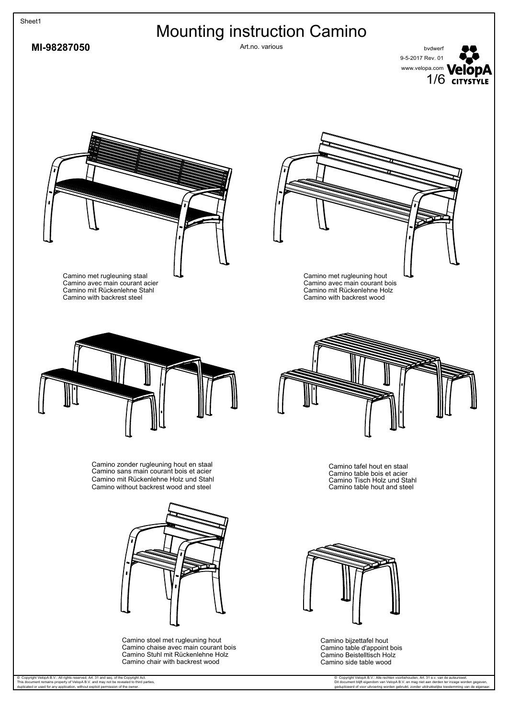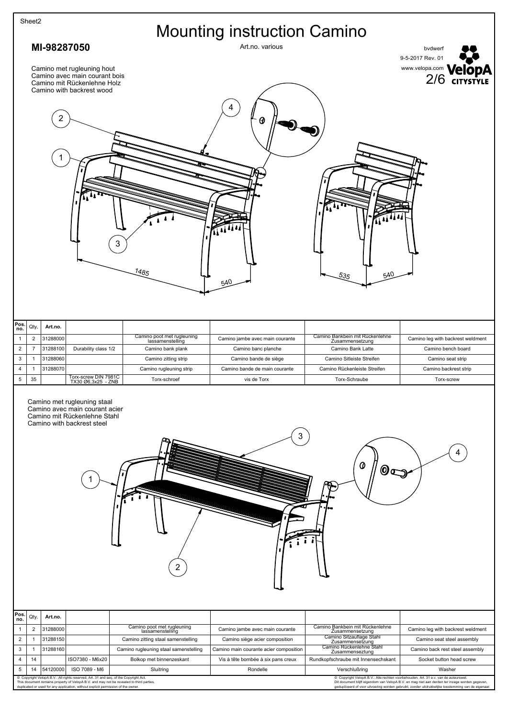|                                | Sheet2                           |                      |                                                                                                                             |                                                                             |                                                                          |                                                                         |                                                                                               |
|--------------------------------|----------------------------------|----------------------|-----------------------------------------------------------------------------------------------------------------------------|-----------------------------------------------------------------------------|--------------------------------------------------------------------------|-------------------------------------------------------------------------|-----------------------------------------------------------------------------------------------|
|                                |                                  |                      |                                                                                                                             |                                                                             | <b>Mounting instruction Camino</b>                                       |                                                                         |                                                                                               |
|                                |                                  | MI-98287050          |                                                                                                                             |                                                                             | Art.no. various                                                          |                                                                         | bvdwerf<br>9-5-2017 Rev. 01                                                                   |
|                                |                                  |                      | Camino met rugleuning hout<br>Camino avec main courant bois<br>Camino mit Rückenlehne Holz<br>Camino with backrest wood     |                                                                             | 4                                                                        |                                                                         | WWW.Velopa.com <b>VelopA</b>                                                                  |
|                                |                                  | 2                    |                                                                                                                             |                                                                             | θ                                                                        |                                                                         |                                                                                               |
|                                |                                  |                      |                                                                                                                             |                                                                             |                                                                          |                                                                         |                                                                                               |
|                                |                                  |                      |                                                                                                                             |                                                                             |                                                                          |                                                                         |                                                                                               |
|                                |                                  |                      |                                                                                                                             |                                                                             |                                                                          |                                                                         |                                                                                               |
|                                |                                  |                      |                                                                                                                             |                                                                             |                                                                          |                                                                         |                                                                                               |
|                                |                                  |                      |                                                                                                                             |                                                                             |                                                                          |                                                                         |                                                                                               |
|                                |                                  |                      | 3                                                                                                                           |                                                                             |                                                                          |                                                                         |                                                                                               |
|                                |                                  |                      |                                                                                                                             |                                                                             |                                                                          |                                                                         |                                                                                               |
|                                |                                  |                      |                                                                                                                             | 1485                                                                        |                                                                          | 540                                                                     |                                                                                               |
|                                |                                  |                      |                                                                                                                             |                                                                             | 540                                                                      | 535                                                                     |                                                                                               |
|                                |                                  |                      |                                                                                                                             |                                                                             |                                                                          |                                                                         |                                                                                               |
|                                |                                  |                      |                                                                                                                             |                                                                             |                                                                          |                                                                         |                                                                                               |
| Pos<br>no.                     | Qty.                             | Art.no.              |                                                                                                                             |                                                                             |                                                                          | Camino Bankbein mit Rückenlehne                                         |                                                                                               |
| $\mathbf{1}$<br>$\overline{2}$ | $\overline{2}$<br>$\overline{7}$ | 31288000<br>31288100 | Durability class 1/2                                                                                                        | Camino poot met rugleuning<br>lassamenstelling<br>Camino bank plank         | Camino jambe avec main courante<br>Camino banc planche                   | Zusammensetzung<br>Camino Bank Latte                                    | Camino leg with backrest weldment<br>Camino bench board                                       |
| 3                              | $\mathbf{1}$                     | 31288060             |                                                                                                                             | Camino zitting strip                                                        | Camino bande de siège                                                    | Camino Sitleiste Streifen                                               | Camino seat strip                                                                             |
| 4                              | $\mathbf{1}$                     | 31288070             |                                                                                                                             | Camino rugleuning strip                                                     | Camino bande de main courante                                            | Camino Rückenleiste Streifen                                            | Camino backrest strip                                                                         |
| $\,$ 5 $\,$                    | 35                               |                      | Torx-screw DIN 7981C<br>TX30 Ø6,3x25 - ZNB                                                                                  | Torx-schroef                                                                | vis de Torx                                                              | Torx-Schraube                                                           | Torx-screw                                                                                    |
|                                |                                  |                      | Camino met rugleuning staal<br>Camino avec main courant acier<br>Camino mit Rückenlehne Stahl<br>Camino with backrest steel |                                                                             |                                                                          |                                                                         |                                                                                               |
|                                |                                  |                      |                                                                                                                             |                                                                             |                                                                          |                                                                         |                                                                                               |
|                                |                                  |                      |                                                                                                                             |                                                                             | 3                                                                        |                                                                         |                                                                                               |
|                                |                                  |                      |                                                                                                                             |                                                                             |                                                                          |                                                                         |                                                                                               |
|                                |                                  |                      |                                                                                                                             |                                                                             |                                                                          | 0<br>$\mathbf{0}$                                                       |                                                                                               |
|                                |                                  |                      |                                                                                                                             |                                                                             |                                                                          |                                                                         |                                                                                               |
|                                |                                  |                      |                                                                                                                             |                                                                             |                                                                          |                                                                         |                                                                                               |
|                                |                                  |                      |                                                                                                                             |                                                                             |                                                                          |                                                                         |                                                                                               |
|                                |                                  |                      |                                                                                                                             |                                                                             |                                                                          |                                                                         |                                                                                               |
|                                |                                  |                      |                                                                                                                             |                                                                             |                                                                          |                                                                         |                                                                                               |
|                                |                                  |                      |                                                                                                                             |                                                                             |                                                                          |                                                                         |                                                                                               |
|                                |                                  |                      |                                                                                                                             | 2                                                                           |                                                                          |                                                                         |                                                                                               |
|                                |                                  |                      |                                                                                                                             |                                                                             |                                                                          |                                                                         |                                                                                               |
|                                |                                  |                      |                                                                                                                             |                                                                             |                                                                          |                                                                         |                                                                                               |
| Pos.<br>no.                    | Qty.                             | Art.no.              |                                                                                                                             |                                                                             |                                                                          |                                                                         |                                                                                               |
| $\mathbf{1}$                   | $\overline{2}$                   | 31288000             |                                                                                                                             | Camino poot met rugleuning<br>lassamenstelling                              | Camino jambe avec main courante                                          | Camino Bankbein mit Rückenlehne<br>Zusammensetzung                      | Camino leg with backrest weldment                                                             |
| $\overline{2}$<br>$\mathsf 3$  | $\mathbf{1}$<br>$\mathbf{1}$     | 31288150<br>31288160 |                                                                                                                             | Camino zitting staal samenstelling<br>Camino rugleuning staal samenstelling | Camino siège acier composition<br>Camino main courante acier composition | Camino Sitzauflage Stahl<br>Zusammensetzung<br>Camino Rückenlehne Stahl | Camino seat steel assembly<br>Camino back rest steel assembly                                 |
| $\overline{4}$                 | 14                               |                      | ISO7380 - M6x20                                                                                                             | Bolkop met binnenzeskant                                                    | Vis à tête bombée à six pans creux                                       | Zusammenseztung<br>Rundkopfschraube mit Innensechskant                  | Socket button head screw                                                                      |
| 5                              | 14                               | 54120000             | ISO 7089 - M6<br>Copyright VelopA B.V.: All rights reserved, Art. 31 and seq. of the Copyright Act.                         | Sluitring                                                                   | Rondelle                                                                 | Verschlußring                                                           | Washer<br>C Copyright VelopA B.V.: Alle rechten voorbehouden, Art. 31 e.v. van de auteurswet. |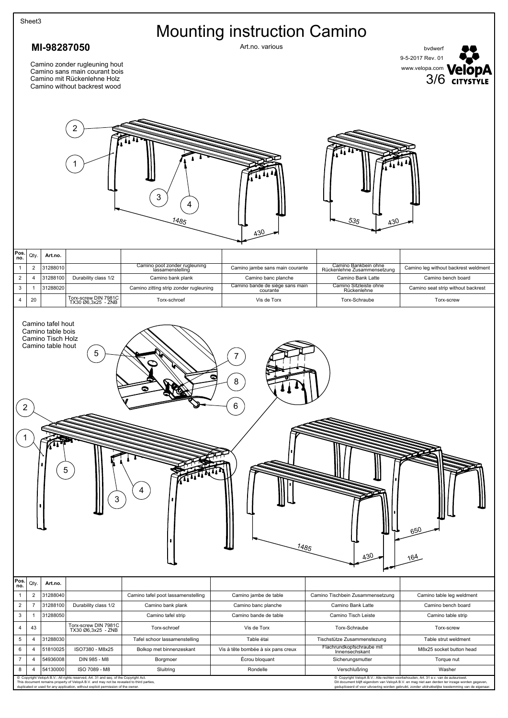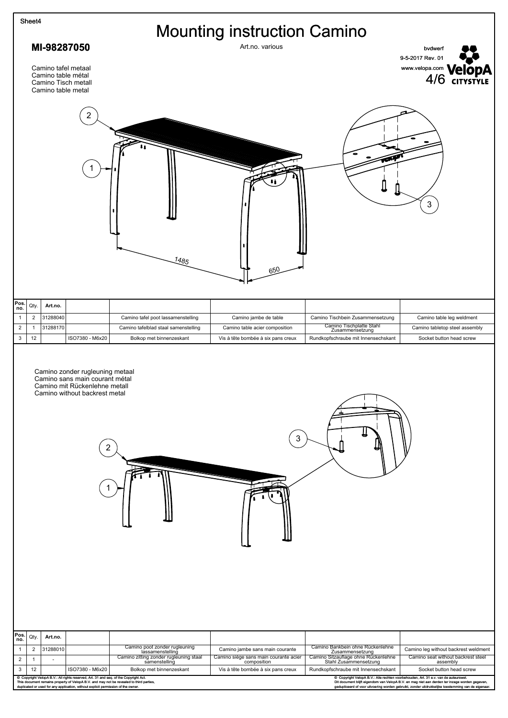| MI-98287050<br>Art.no. various<br>9-5-2017 Rev. 01<br>Camino tafel metaal<br>Camino table métal<br>Camino Tisch metall<br>Camino table metal                                                                                                                                                                                                             |                                                                            |  |  |  |  |
|----------------------------------------------------------------------------------------------------------------------------------------------------------------------------------------------------------------------------------------------------------------------------------------------------------------------------------------------------------|----------------------------------------------------------------------------|--|--|--|--|
|                                                                                                                                                                                                                                                                                                                                                          | <b>Mounting instruction Camino</b><br>bvdwerf                              |  |  |  |  |
|                                                                                                                                                                                                                                                                                                                                                          |                                                                            |  |  |  |  |
|                                                                                                                                                                                                                                                                                                                                                          | WWW.velopa.com VelopA                                                      |  |  |  |  |
| 2<br>1485<br>650                                                                                                                                                                                                                                                                                                                                         | 3                                                                          |  |  |  |  |
|                                                                                                                                                                                                                                                                                                                                                          |                                                                            |  |  |  |  |
| Pos.<br>no.<br>Qty.<br>Art.no.                                                                                                                                                                                                                                                                                                                           |                                                                            |  |  |  |  |
| $\overline{2}$<br>31288040<br>Camino tafel poot lassamenstelling<br>Camino jambe de table<br>Camino Tischbein Zusammensetzung<br>$\mathbf{1}$<br>Camino Tischplatte Stahl<br>$\overline{2}$<br>31288170<br>Camino tafelblad staal samenstelling<br>Camino table acier composition<br>$\mathbf{1}$                                                        | Camino table leg weldment<br>Camino tabletop steel assembly                |  |  |  |  |
| Zusammensetzung<br>$\ensuremath{\mathsf{3}}$<br>12<br>ISO7380 - M6x20<br>Bolkop met binnenzeskant<br>Rundkopfschraube mit Innensechskant<br>Vis à tête bombée à six pans creux                                                                                                                                                                           | Socket button head screw                                                   |  |  |  |  |
| Camino zonder rugleuning metaal<br>Camino sans main courant métal<br>Camino mit Rückenlehne metall<br>Camino without backrest metal<br>3                                                                                                                                                                                                                 |                                                                            |  |  |  |  |
|                                                                                                                                                                                                                                                                                                                                                          |                                                                            |  |  |  |  |
| Pos.<br>no.<br>Qty.<br>Art.no.                                                                                                                                                                                                                                                                                                                           |                                                                            |  |  |  |  |
| Camino poot zonder rugleuning<br>lassamenstelling<br>Camino Bankbein ohne Rückenlehne<br>$\overline{2}$<br>31288010<br>$\mathbf{1}$<br>Camino jambe sans main courante<br>Zusammensetzung                                                                                                                                                                | Camino leg without backrest weldment                                       |  |  |  |  |
| Camino siège sans main courante acier<br>composition<br>Camino Sitzauflage ohne Rückenlehne<br>Stahl Zusammensetzung<br>Camino zitting zonder rugleuning staal<br>samenstelling<br>$\overline{2}$<br>$\mathbf{1}$<br>3<br>ISO7380 - M6x20<br>12<br>Vis à tête bombée à six pans creux<br>Rundkopfschraube mit Innensechskant<br>Bolkop met binnenzeskant | Camino seat without backrest steel<br>assembly<br>Socket button head screw |  |  |  |  |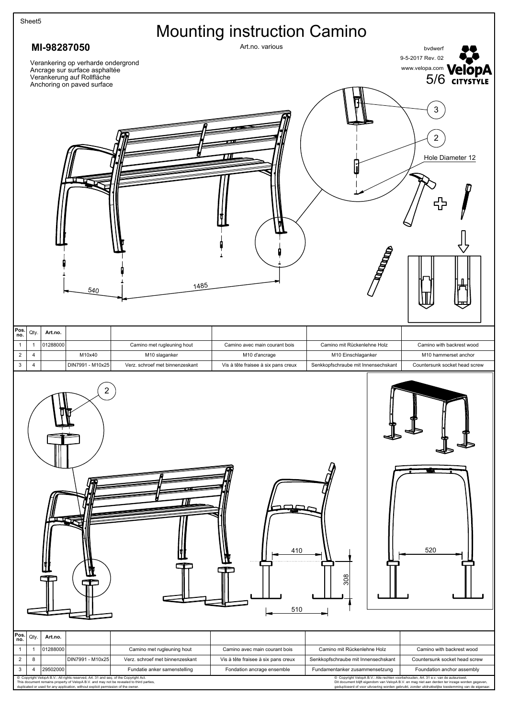